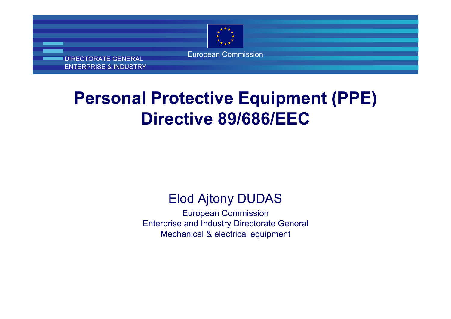

DIRECTORATE GENERAL ENTERPRISE & INDUSTRY

# **Personal Protective Equipment (PPE) Directive 89/686/EEC**

#### Elod Ajtony DUDAS

European Commission Enterprise and Industry Directorate General Mechanical & electrical equipment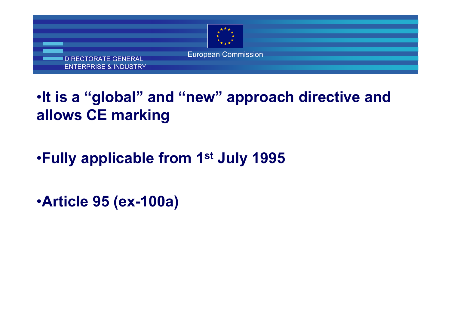

## •**It is a "global" and "new" approach directive and allows CE marking**

### •**Fully applicable from 1st July 1995**

•**Article 95 (ex-100a)**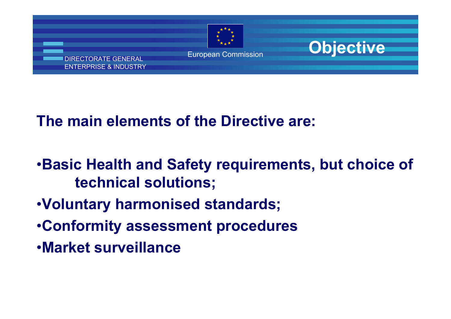



#### **The main elements of the Directive are:**

- •**Basic Health and Safety requirements, but choice of technical solutions;**
- •**Voluntary harmonised standards;**
- •**Conformity assessment procedures**
- •**Market surveillance**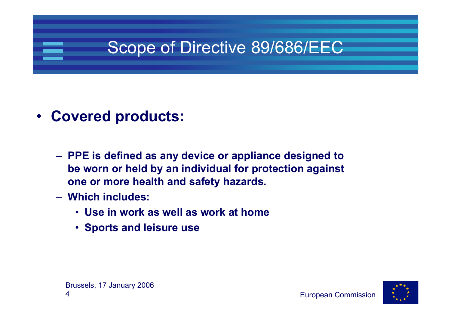# Scope of Directive 89/686/EEC

#### **Covered products:**

- **PPE is defined as any device or appliance designed to be worn or held by an individual for protection against one or more health and safety hazards.**
- **Which includes:**
	- **Use in work as well as work at home**
	- **Sports and leisure use**

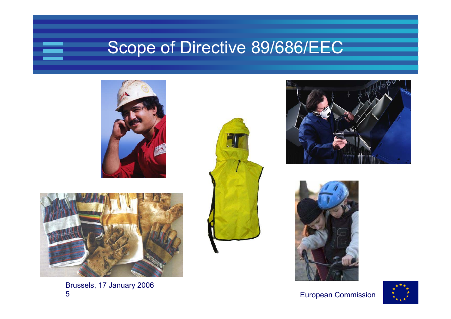## Scope of Directive 89/686/EEC





Brussels, 17 January 2006 5







#### European Commission

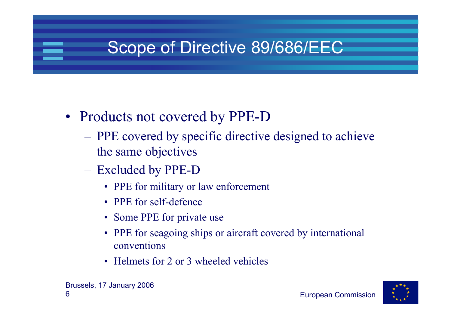# Scope of Directive 89/686/EEC

- Products not covered by PPE-D
	- PPE covered by specific directive designed to achieve the same objectives
	- Excluded by PPE-D
		- PPE for military or law enforcement
		- PPE for self-defence
		- Some PPE for private use
		- PPE for seagoing ships or aircraft covered by international conventions
		- Helmets for 2 or 3 wheeled vehicles

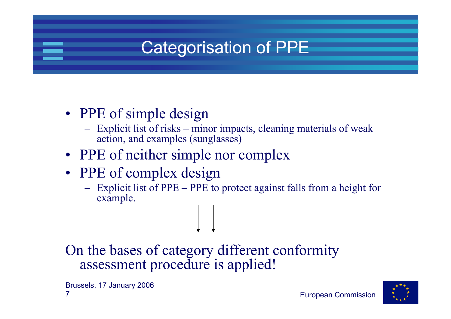# Categorisation of PPE

#### • PPE of simple design

- Explicit list of risks minor impacts, cleaning materials of weak action, and examples (sunglasses)
- PPE of neither simple nor complex
- PPE of complex design
	- – Explicit list of PPE – PPE to protect against falls from a height for example.

On the bases of category different conformity assessment procedure is applied!

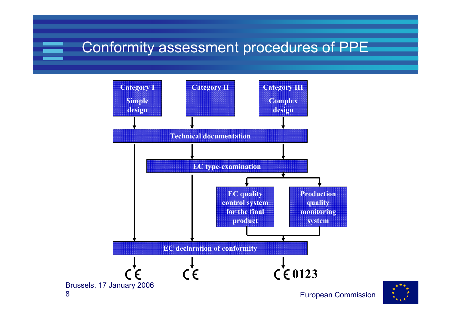#### Conformity assessment procedures of PPE



8

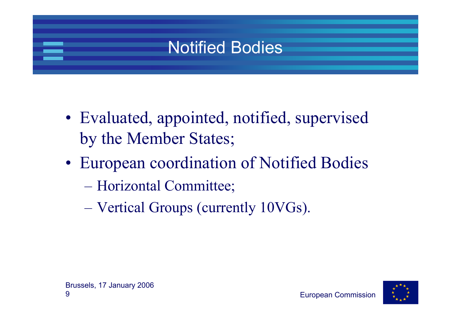# Notified Bodies

- Evaluated, appointed, notified, supervised by the Member States;
- European coordination of Notified Bodies
	- Horizontal Committee;
	- Vertical Groups (currently 10VGs).

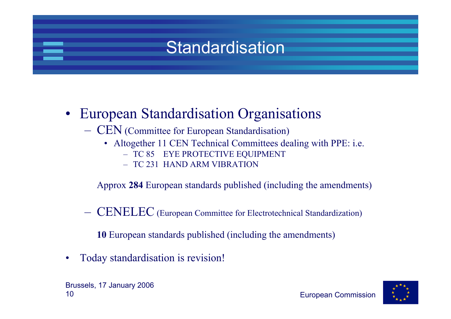# Standardisation

#### • European Standardisation Organisations

- CEN (Committee for European Standardisation)
	- Altogether 11 CEN Technical Committees dealing with PPE: i.e.
		- TC 85 EYE PROTECTIVE EQUIPMENT
		- TC 231 HAND ARM VIBRATION

Approx **284** European standards published (including the amendments)

CENELEC (European Committee for Electrotechnical Standardization)

**10** European standards published (including the amendments)

•Today standardisation is revision!

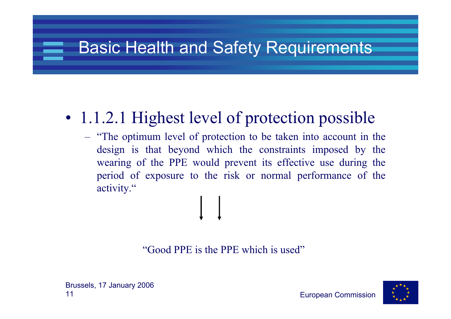# Basic Health and Safety Requirements

## • 1.1.2.1 Highest level of protection possible

– "The optimum level of protection to be taken into account in the design is that beyond which the constraints imposed by the wearing of the PPE would prevent its effective use during the period of exposure to the risk or normal performance of the activity."

"Good PPE is the PPE which is used"



European Commission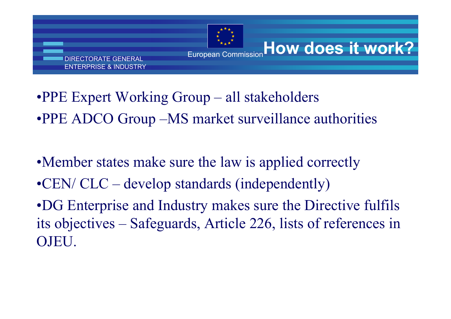

**How does it work?**

- •PPE Expert Working Group all stakeholders
- •PPE ADCO Group –MS market surveillance authorities
- •Member states make sure the law is applied correctly
- •CEN/ CLC develop standards (independently)
- •DG Enterprise and Industry makes sure the Directive fulfils its objectives – Safeguards, Article 226, lists of references in OJEU.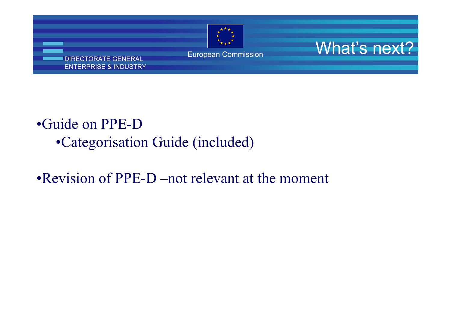

European Commission **What's next'** 

#### DIRECTORATE GENERAL ENTERPRISE & INDUSTRY

#### •Guide on PPE-D•Categorisation Guide (included)

#### •Revision of PPE-D –not relevant at the moment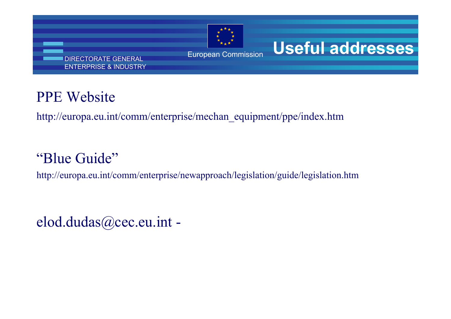

# **Useful addresses**

#### PE Website

http://europa.eu.int/comm/enterprise/mechan\_equipment/ppe/index.htm

#### Blue Guide"

tp://europa.eu.int/comm/enterprise/newapproach/legislation/guide/legislation.htm

 $Iod.dudas@cec.eu.int -$